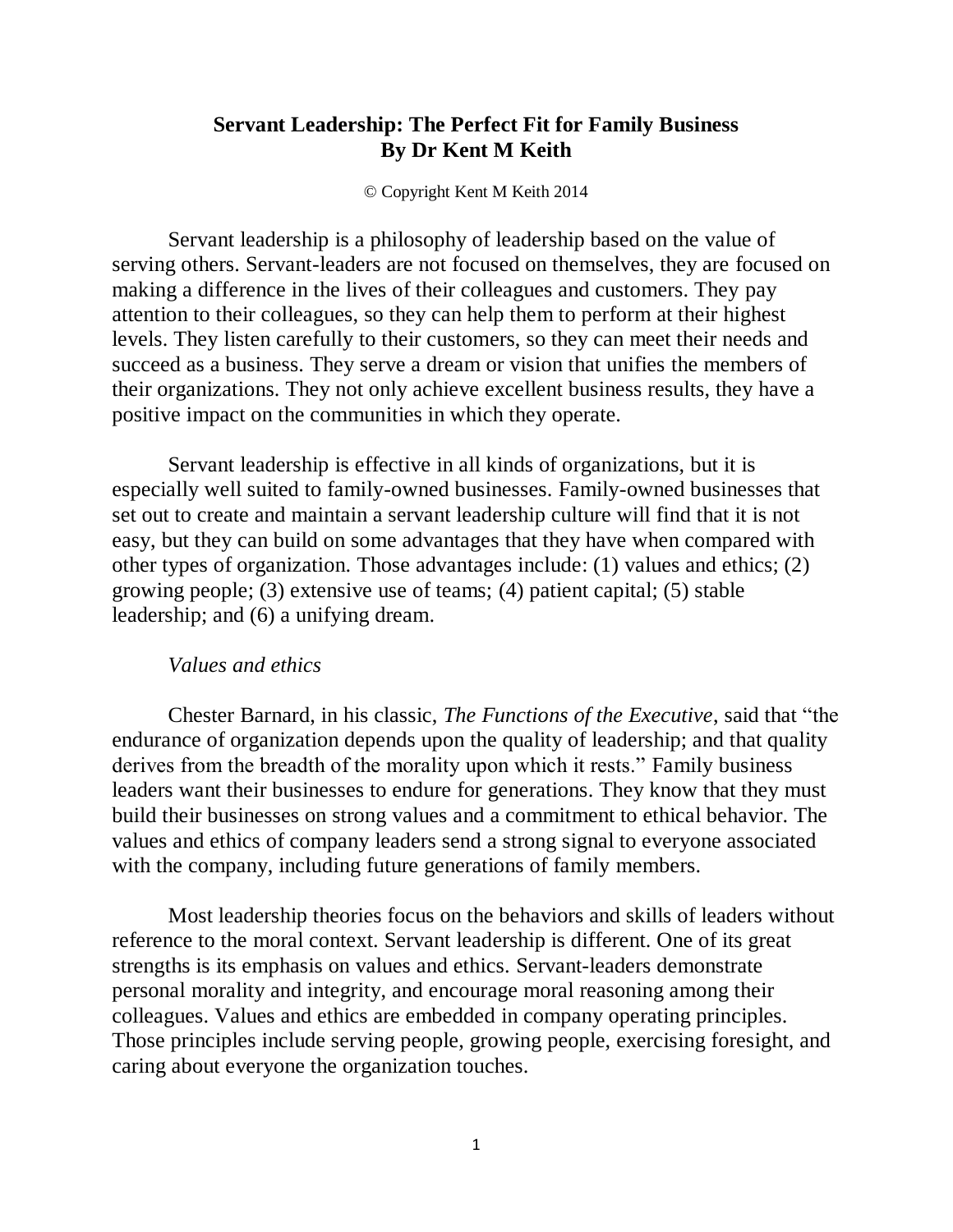# **Servant Leadership: The Perfect Fit for Family Business By Dr Kent M Keith**

© Copyright Kent M Keith 2014

Servant leadership is a philosophy of leadership based on the value of serving others. Servant-leaders are not focused on themselves, they are focused on making a difference in the lives of their colleagues and customers. They pay attention to their colleagues, so they can help them to perform at their highest levels. They listen carefully to their customers, so they can meet their needs and succeed as a business. They serve a dream or vision that unifies the members of their organizations. They not only achieve excellent business results, they have a positive impact on the communities in which they operate.

Servant leadership is effective in all kinds of organizations, but it is especially well suited to family-owned businesses. Family-owned businesses that set out to create and maintain a servant leadership culture will find that it is not easy, but they can build on some advantages that they have when compared with other types of organization. Those advantages include: (1) values and ethics; (2) growing people; (3) extensive use of teams; (4) patient capital; (5) stable leadership; and (6) a unifying dream.

## *Values and ethics*

Chester Barnard, in his classic, *The Functions of the Executive*, said that "the endurance of organization depends upon the quality of leadership; and that quality derives from the breadth of the morality upon which it rests." Family business leaders want their businesses to endure for generations. They know that they must build their businesses on strong values and a commitment to ethical behavior. The values and ethics of company leaders send a strong signal to everyone associated with the company, including future generations of family members.

Most leadership theories focus on the behaviors and skills of leaders without reference to the moral context. Servant leadership is different. One of its great strengths is its emphasis on values and ethics. Servant-leaders demonstrate personal morality and integrity, and encourage moral reasoning among their colleagues. Values and ethics are embedded in company operating principles. Those principles include serving people, growing people, exercising foresight, and caring about everyone the organization touches.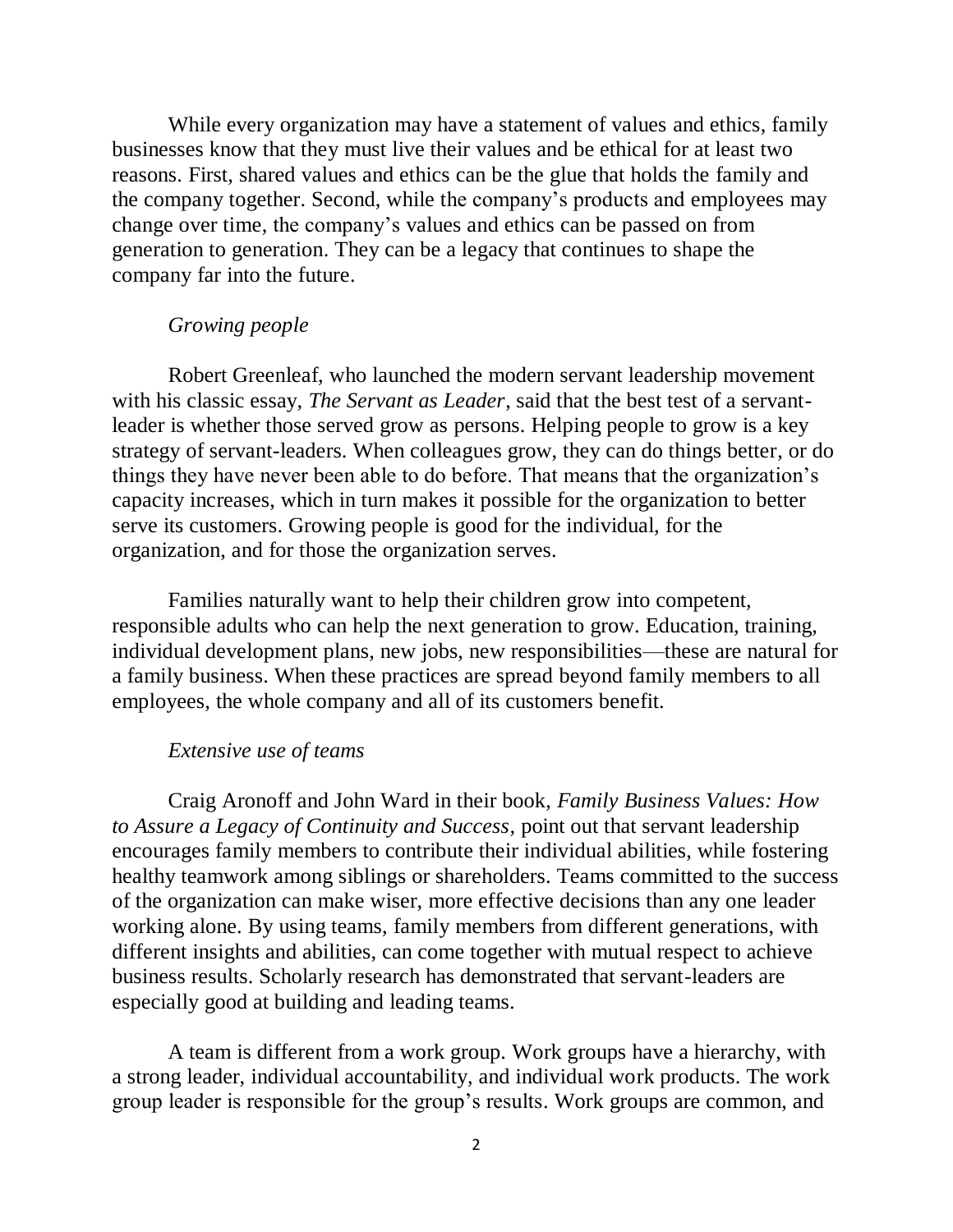While every organization may have a statement of values and ethics, family businesses know that they must live their values and be ethical for at least two reasons. First, shared values and ethics can be the glue that holds the family and the company together. Second, while the company's products and employees may change over time, the company's values and ethics can be passed on from generation to generation. They can be a legacy that continues to shape the company far into the future.

## *Growing people*

Robert Greenleaf, who launched the modern servant leadership movement with his classic essay, *The Servant as Leader*, said that the best test of a servantleader is whether those served grow as persons. Helping people to grow is a key strategy of servant-leaders. When colleagues grow, they can do things better, or do things they have never been able to do before. That means that the organization's capacity increases, which in turn makes it possible for the organization to better serve its customers. Growing people is good for the individual, for the organization, and for those the organization serves.

Families naturally want to help their children grow into competent, responsible adults who can help the next generation to grow. Education, training, individual development plans, new jobs, new responsibilities—these are natural for a family business. When these practices are spread beyond family members to all employees, the whole company and all of its customers benefit.

## *Extensive use of teams*

Craig Aronoff and John Ward in their book, *Family Business Values: How to Assure a Legacy of Continuity and Success,* point out that servant leadership encourages family members to contribute their individual abilities, while fostering healthy teamwork among siblings or shareholders. Teams committed to the success of the organization can make wiser, more effective decisions than any one leader working alone. By using teams, family members from different generations, with different insights and abilities, can come together with mutual respect to achieve business results. Scholarly research has demonstrated that servant-leaders are especially good at building and leading teams.

A team is different from a work group. Work groups have a hierarchy, with a strong leader, individual accountability, and individual work products. The work group leader is responsible for the group's results. Work groups are common, and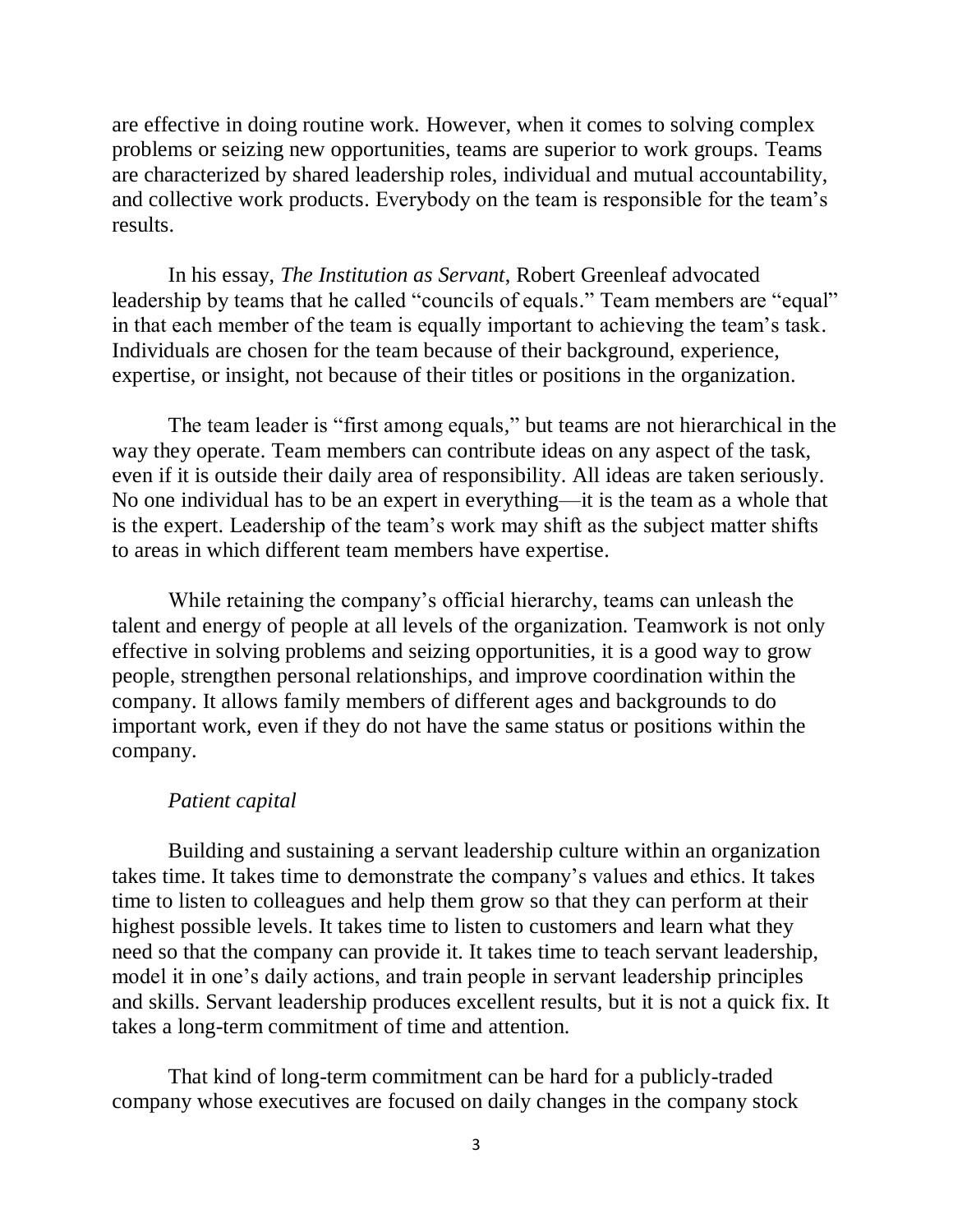are effective in doing routine work. However, when it comes to solving complex problems or seizing new opportunities, teams are superior to work groups. Teams are characterized by shared leadership roles, individual and mutual accountability, and collective work products. Everybody on the team is responsible for the team's results.

In his essay, *The Institution as Servant*, Robert Greenleaf advocated leadership by teams that he called "councils of equals." Team members are "equal" in that each member of the team is equally important to achieving the team's task. Individuals are chosen for the team because of their background, experience, expertise, or insight, not because of their titles or positions in the organization.

The team leader is "first among equals," but teams are not hierarchical in the way they operate. Team members can contribute ideas on any aspect of the task, even if it is outside their daily area of responsibility. All ideas are taken seriously. No one individual has to be an expert in everything—it is the team as a whole that is the expert. Leadership of the team's work may shift as the subject matter shifts to areas in which different team members have expertise.

While retaining the company's official hierarchy, teams can unleash the talent and energy of people at all levels of the organization. Teamwork is not only effective in solving problems and seizing opportunities, it is a good way to grow people, strengthen personal relationships, and improve coordination within the company. It allows family members of different ages and backgrounds to do important work, even if they do not have the same status or positions within the company.

### *Patient capital*

Building and sustaining a servant leadership culture within an organization takes time. It takes time to demonstrate the company's values and ethics. It takes time to listen to colleagues and help them grow so that they can perform at their highest possible levels. It takes time to listen to customers and learn what they need so that the company can provide it. It takes time to teach servant leadership, model it in one's daily actions, and train people in servant leadership principles and skills. Servant leadership produces excellent results, but it is not a quick fix. It takes a long-term commitment of time and attention.

That kind of long-term commitment can be hard for a publicly-traded company whose executives are focused on daily changes in the company stock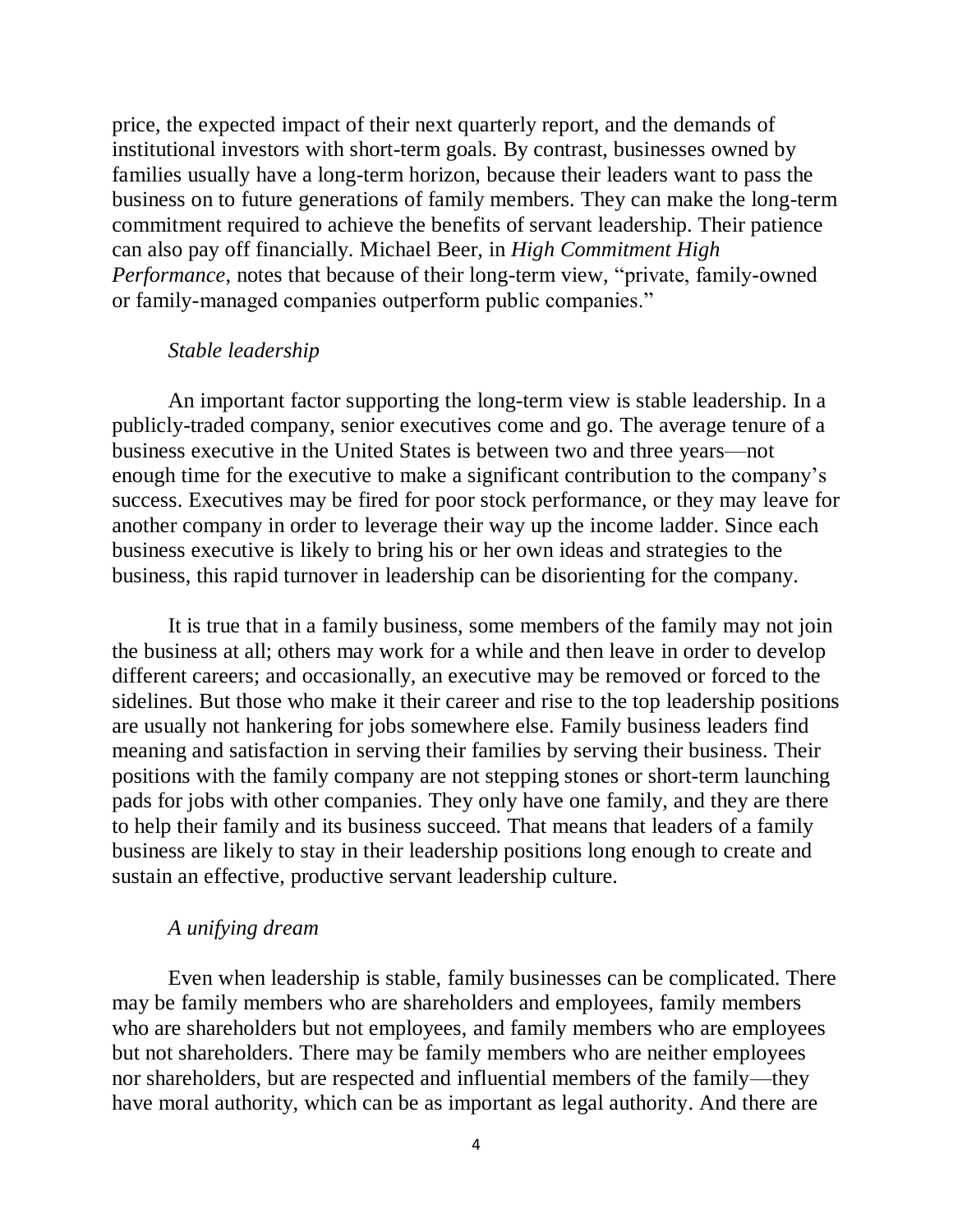price, the expected impact of their next quarterly report, and the demands of institutional investors with short-term goals. By contrast, businesses owned by families usually have a long-term horizon, because their leaders want to pass the business on to future generations of family members. They can make the long-term commitment required to achieve the benefits of servant leadership. Their patience can also pay off financially. Michael Beer, in *High Commitment High Performance*, notes that because of their long-term view, "private, family-owned or family-managed companies outperform public companies."

### *Stable leadership*

An important factor supporting the long-term view is stable leadership. In a publicly-traded company, senior executives come and go. The average tenure of a business executive in the United States is between two and three years—not enough time for the executive to make a significant contribution to the company's success. Executives may be fired for poor stock performance, or they may leave for another company in order to leverage their way up the income ladder. Since each business executive is likely to bring his or her own ideas and strategies to the business, this rapid turnover in leadership can be disorienting for the company.

It is true that in a family business, some members of the family may not join the business at all; others may work for a while and then leave in order to develop different careers; and occasionally, an executive may be removed or forced to the sidelines. But those who make it their career and rise to the top leadership positions are usually not hankering for jobs somewhere else. Family business leaders find meaning and satisfaction in serving their families by serving their business. Their positions with the family company are not stepping stones or short-term launching pads for jobs with other companies. They only have one family, and they are there to help their family and its business succeed. That means that leaders of a family business are likely to stay in their leadership positions long enough to create and sustain an effective, productive servant leadership culture.

## *A unifying dream*

Even when leadership is stable, family businesses can be complicated. There may be family members who are shareholders and employees, family members who are shareholders but not employees, and family members who are employees but not shareholders. There may be family members who are neither employees nor shareholders, but are respected and influential members of the family—they have moral authority, which can be as important as legal authority. And there are